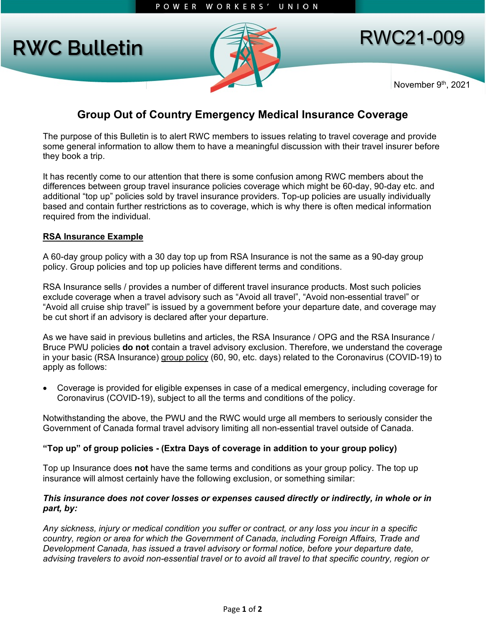





November 9<sup>th</sup>, 2021

# **Group Out of Country Emergency Medical Insurance Coverage**

The purpose of this Bulletin is to alert RWC members to issues relating to travel coverage and provide some general information to allow them to have a meaningful discussion with their travel insurer before they book a trip.

It has recently come to our attention that there is some confusion among RWC members about the differences between group travel insurance policies coverage which might be 60-day, 90-day etc. and additional "top up" policies sold by travel insurance providers. Top-up policies are usually individually based and contain further restrictions as to coverage, which is why there is often medical information required from the individual.

### **RSA Insurance Example**

A 60-day group policy with a 30 day top up from RSA Insurance is not the same as a 90-day group policy. Group policies and top up policies have different terms and conditions.

RSA Insurance sells / provides a number of different travel insurance products. Most such policies exclude coverage when a travel advisory such as "Avoid all travel", "Avoid non-essential travel" or "Avoid all cruise ship travel" is issued by a government before your departure date, and coverage may be cut short if an advisory is declared after your departure.

As we have said in previous bulletins and articles, the RSA Insurance / OPG and the RSA Insurance / Bruce PWU policies **do not** contain a travel advisory exclusion. Therefore, we understand the coverage in your basic (RSA Insurance) group policy (60, 90, etc. days) related to the Coronavirus (COVID-19) to apply as follows:

• Coverage is provided for eligible expenses in case of a medical emergency, including coverage for Coronavirus (COVID-19), subject to all the terms and conditions of the policy.

Notwithstanding the above, the PWU and the RWC would urge all members to seriously consider the Government of Canada formal travel advisory limiting all non-essential travel outside of Canada.

## **"Top up" of group policies - (Extra Days of coverage in addition to your group policy)**

Top up Insurance does **not** have the same terms and conditions as your group policy. The top up insurance will almost certainly have the following exclusion, or something similar:

### *This insurance does not cover losses or expenses caused directly or indirectly, in whole or in part, by:*

*Any sickness, injury or medical condition you suffer or contract, or any loss you incur in a specific country, region or area for which the Government of Canada, including Foreign Affairs, Trade and Development Canada, has issued a travel advisory or formal notice, before your departure date, advising travelers to avoid non-essential travel or to avoid all travel to that specific country, region or*